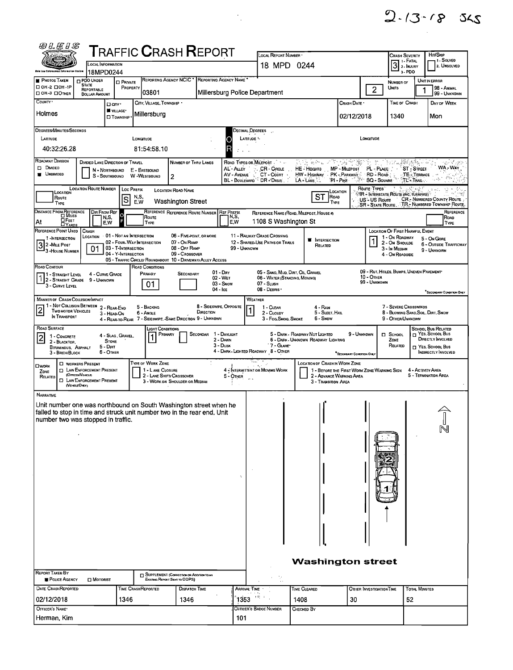| $2 - 13 - 18$ 345 |  |
|-------------------|--|
|                   |  |

|                                                                                                                                                                                                                                                                                                                                                                                                                    | WLEIS                                                                                                                                                                                                                                                      |                                                                                     |                                                               |                                         |                                       | <b>TRAFFIC CRASH REPORT</b>                                                                                                                  |                                      |                                                              |                                                                |                                                 |                                                                       |                                                                         |                                                        | <b>CRASH SEVERITY</b>                                                           |                      | HIT/SKP                                                                                 |
|--------------------------------------------------------------------------------------------------------------------------------------------------------------------------------------------------------------------------------------------------------------------------------------------------------------------------------------------------------------------------------------------------------------------|------------------------------------------------------------------------------------------------------------------------------------------------------------------------------------------------------------------------------------------------------------|-------------------------------------------------------------------------------------|---------------------------------------------------------------|-----------------------------------------|---------------------------------------|----------------------------------------------------------------------------------------------------------------------------------------------|--------------------------------------|--------------------------------------------------------------|----------------------------------------------------------------|-------------------------------------------------|-----------------------------------------------------------------------|-------------------------------------------------------------------------|--------------------------------------------------------|---------------------------------------------------------------------------------|----------------------|-----------------------------------------------------------------------------------------|
|                                                                                                                                                                                                                                                                                                                                                                                                                    |                                                                                                                                                                                                                                                            |                                                                                     | <b>LOCAL INFORMATION</b>                                      |                                         |                                       |                                                                                                                                              |                                      |                                                              | LOCAL REPORT NUMBER .<br>18 MPD 0244                           |                                                 |                                                                       |                                                                         |                                                        |                                                                                 |                      | - I - Solved<br>2. UNSOLVED                                                             |
| Ohio Law Exforcement Information Overam<br><b>PHOTOS TAKEN</b>                                                                                                                                                                                                                                                                                                                                                     |                                                                                                                                                                                                                                                            | <b>D PDO UNDER</b>                                                                  | 18MPD0244<br><b>D</b> PRIVATE                                 |                                         |                                       | REPORTING AGENCY NCIC * REPORTING AGENCY NAME                                                                                                |                                      |                                                              |                                                                |                                                 |                                                                       |                                                                         |                                                        | $32$ PNURY<br>3-PDO<br><b>NUMBER OF</b>                                         |                      | UNIT IN ERROR                                                                           |
| □ ОН-2 □ ОН-1Р<br>DOH-3 DOTHER                                                                                                                                                                                                                                                                                                                                                                                     |                                                                                                                                                                                                                                                            | <b>STATE</b><br><b>REPORTABLE</b><br><b>DOLLAR AMOUNT</b>                           |                                                               | PROPERTY                                | 03801                                 |                                                                                                                                              |                                      | Millersburg Police Department                                |                                                                |                                                 |                                                                       |                                                                         | $\overline{2}$                                         | <b>UNITS</b>                                                                    | 1                    | 98 - ANIMAL<br>99 - UNKNOWN                                                             |
| COUNTY '                                                                                                                                                                                                                                                                                                                                                                                                           |                                                                                                                                                                                                                                                            |                                                                                     | □ arv·                                                        | CITY, VILLAGE, TOWNSHIP<br>Спазн Date • |                                       |                                                                                                                                              |                                      |                                                              |                                                                |                                                 |                                                                       |                                                                         |                                                        | TIME OF CRASH                                                                   |                      | DAY OF WEEK                                                                             |
| Holmes                                                                                                                                                                                                                                                                                                                                                                                                             |                                                                                                                                                                                                                                                            |                                                                                     | I VILLAGE*<br><b>CI</b> TOWNSHIP                              |                                         | Millersburg                           |                                                                                                                                              |                                      |                                                              |                                                                |                                                 |                                                                       | 02/12/2018                                                              |                                                        | 1340                                                                            |                      | Mon                                                                                     |
| DEGREES/MINUTES/SECONDS                                                                                                                                                                                                                                                                                                                                                                                            |                                                                                                                                                                                                                                                            |                                                                                     |                                                               |                                         |                                       |                                                                                                                                              |                                      |                                                              | DECIMAL DEGREES                                                |                                                 |                                                                       |                                                                         |                                                        |                                                                                 |                      |                                                                                         |
| LATITUDE<br>LONGITUDE<br>LATITUDE 1.<br>LONGITUDE<br>C<br>R<br>40:32:26.28<br>81:54:58.10                                                                                                                                                                                                                                                                                                                          |                                                                                                                                                                                                                                                            |                                                                                     |                                                               |                                         |                                       |                                                                                                                                              |                                      |                                                              |                                                                |                                                 |                                                                       |                                                                         |                                                        |                                                                                 |                      |                                                                                         |
| ROADWAY DIVISION                                                                                                                                                                                                                                                                                                                                                                                                   |                                                                                                                                                                                                                                                            |                                                                                     | DIVIDED LANE DIRECTION OF TRAVEL                              |                                         |                                       | NUMBER OF THRU LANES                                                                                                                         |                                      |                                                              | ROAD TYPES OR MILEPOST                                         |                                                 | 高高 医外科学家 化                                                            | ð,                                                                      |                                                        |                                                                                 | an ingkatakat        | And Safety                                                                              |
| <b>DIVIDED</b><br>MP - MILEPOST<br>PL - PLACE<br>AL'-ALLEY<br>CR - CIRCLE<br>HE HEGHTS<br><b>ST</b> STREET<br>N - Northbound<br>E - EASTBOUND<br><b>UNDIVIDED</b><br>AV - AVENUE<br>CT - COURT<br>HW - HIGHWAY PK - PARKWAY<br>RD - ROAD<br>TE TERRACE<br>S - SOUTHBOUND<br>W-WESTBOUND<br>$\overline{2}$<br>BL - BOULEVARD <sup>%</sup> DR - DRIVE<br>$P = P$ ne<br><b>SQ - SOUARE</b><br>TL'-TRAIL.<br>LA - LANE |                                                                                                                                                                                                                                                            |                                                                                     |                                                               |                                         |                                       |                                                                                                                                              |                                      |                                                              |                                                                |                                                 |                                                                       |                                                                         | WA - WAY                                               |                                                                                 |                      |                                                                                         |
|                                                                                                                                                                                                                                                                                                                                                                                                                    | Route Types<br>LOCATION ROUTE NUMBER<br><b>LOC PREFIX</b><br><b>LOCATION ROAD NAME</b><br>LOCATION<br>Location<br>$\sigma_{\lambda} \xrightarrow{\mu} \gamma \gamma \gamma$<br><b>TR - INTERSTATE ROUTE (INC. TURNPIKE)</b><br>ST<br>N,S,<br>ROAD<br>Route |                                                                                     |                                                               |                                         |                                       |                                                                                                                                              |                                      |                                                              |                                                                |                                                 |                                                                       |                                                                         |                                                        |                                                                                 |                      |                                                                                         |
|                                                                                                                                                                                                                                                                                                                                                                                                                    | TYPE                                                                                                                                                                                                                                                       |                                                                                     | S                                                             | E,W                                     |                                       | <b>Washington Street</b>                                                                                                                     |                                      |                                                              |                                                                |                                                 |                                                                       | TYPE                                                                    | US-US Route<br><b>SR - STATE ROUTE.</b>                |                                                                                 |                      | CR - NUMBERED COUNTY ROUTE<br>. TR .- Numbered Township Route .                         |
| DISTANCE FROM REFERENCE<br>At<br>REFERENCE POINT USED                                                                                                                                                                                                                                                                                                                                                              | <b>DEET</b>                                                                                                                                                                                                                                                |                                                                                     | DIR FROM REF<br>$\circ$<br>N,S,<br>E,W                        |                                         | Route<br><b>TYPE</b>                  | REFERENCE REFERENCE ROUTE NUMBER                                                                                                             |                                      | <b>REF PREFIX</b><br>N,S,<br>E.W                             |                                                                |                                                 | REFERENCE NAME (ROAD, MILEPOST, HOUSE #)<br>1108 S Washington St      |                                                                         |                                                        |                                                                                 |                      | REFERENCE<br>ROAD<br>TYPE                                                               |
|                                                                                                                                                                                                                                                                                                                                                                                                                    | 1-INTERSECTION                                                                                                                                                                                                                                             | CRASH<br>LOCATION                                                                   | 01 - NOT AN INTERSECTION<br>02 - Four-Way Intersection        |                                         |                                       | 06 - FIVE-POINT, OR MORE<br>07 - On RAMP                                                                                                     |                                      |                                                              | 11 - RAILWAY GRADE CROSSING<br>12 - SHARED-USE PATHS OR TRAILS |                                                 | <b>INTERSECTION</b><br>■                                              |                                                                         |                                                        | LOCATION OF FIRST HARMFUL EVENT<br>1 - On ROADWAY<br>2 - On Shoulde             |                      | 5 - On GORE<br><b>6 - OUTSIDE TRAFFICWAY</b>                                            |
| $32$ -Mile Post                                                                                                                                                                                                                                                                                                                                                                                                    | 3 - HOUSE NUMBER                                                                                                                                                                                                                                           | 01                                                                                  | 03 - T-INTERSECTION<br>04 - Y-INTERSECTION                    |                                         |                                       | 08 - Off RAMP<br>09 - Crossover<br>05 - TRAFFIC CIRCLE/ ROUNDABOUT 10 - DRIVEWAY/ ALLEY ACCESS                                               |                                      | 99 - UNKNOWN                                                 |                                                                |                                                 | RELATED                                                               |                                                                         |                                                        | 3 - In Median<br>4 - On ROADSIDE                                                |                      | 9 - UNKNOWN                                                                             |
| ROAD CONTOUR                                                                                                                                                                                                                                                                                                                                                                                                       | 1 - STRAIGHT LEVEL                                                                                                                                                                                                                                         |                                                                                     | 4 - CURVE GRADE                                               |                                         | ROAD CONDITIONS<br>Primary            | SECONDARY                                                                                                                                    |                                      | $01 - \text{Dry}$<br>02 - WET                                |                                                                |                                                 | 05 - SAND, MUD, DIRT, OIL, GRAVEL<br>06 - WATER (STANDING, MOVING)    |                                                                         | 09 - RUT. HOLES, BUMPS, UNEVEN PAVEMENT*<br>10 - OTHER |                                                                                 |                      |                                                                                         |
|                                                                                                                                                                                                                                                                                                                                                                                                                    | 3 - CURVE LEVEL                                                                                                                                                                                                                                            | 12 - STRAIGHT GRADE 9 - UNKNOWN                                                     |                                                               |                                         | 01                                    |                                                                                                                                              | 04 - Ice                             | 03 - Snow                                                    | $07 - S$ LUSH<br>08 - DEBRIS                                   |                                                 |                                                                       |                                                                         | 99 - UNKNOWN                                           |                                                                                 |                      | SECONDARY CONDITION ONLY                                                                |
|                                                                                                                                                                                                                                                                                                                                                                                                                    |                                                                                                                                                                                                                                                            | MANNER OF CRASH COLLISION/IMPACT<br>1 - NOT COLLISION BETWEEN                       |                                                               |                                         |                                       |                                                                                                                                              |                                      |                                                              | WEATHER                                                        |                                                 |                                                                       |                                                                         |                                                        |                                                                                 |                      |                                                                                         |
| $\overline{2}$                                                                                                                                                                                                                                                                                                                                                                                                     | <b>TWO MOTOR VEHICLES</b><br>IN TRANSPORT                                                                                                                                                                                                                  |                                                                                     | 2 - REAR-END<br>3 - HEAD-ON                                   |                                         | 5 - BACKING<br>6 - Angle              | 4 - REAR-TO-REAR 7 - SIDESWIPE, SAME DIRECTION 9 - UNKNOWN                                                                                   | 8 - SIDESWIPE, OPPOSITE<br>DIRECTION |                                                              |                                                                | 1 - CLEAR<br>2 - CLOUDY<br>3 - Fog, Smog, Smoke | 4 - RAIN<br>5 - SLEET, HAIL<br>6 - Snow                               |                                                                         |                                                        | 7 - SEVERE CROSSWINDS<br>8 - BLOWING SAND SOIL, DIRT, SNOW<br>9 - OTHER/UNKNOWN |                      |                                                                                         |
| ROAD SURFACE                                                                                                                                                                                                                                                                                                                                                                                                       |                                                                                                                                                                                                                                                            |                                                                                     |                                                               |                                         | Цент Сомонтомѕ                        |                                                                                                                                              |                                      |                                                              |                                                                |                                                 |                                                                       |                                                                         |                                                        |                                                                                 |                      | <b>SCHOOL BUS RELATED</b>                                                               |
| $\mathbf{z}$                                                                                                                                                                                                                                                                                                                                                                                                       | 1 - CONCRETE<br>2 - BLACKTOP.<br>BITUMINOUS, ASPHALT<br>3 - BRICK/BLOCK                                                                                                                                                                                    |                                                                                     | 4 - SLAG, GRAVEL.<br><b>STONE</b><br>$5 - D$ IRT<br>6 - OTHER |                                         | Primary                               |                                                                                                                                              | SECONDAR 1 - DAYLIGHT                | 2 - DAWN<br>3 - Dusk<br>4 - DARK - LIGHTED ROADWAY 8 - OTHER |                                                                | 7 - Glare                                       | 5 - DARK - ROADWAY NOT LIGHTED<br>6 - DARK - UNKNOWN ROADWAY LIGHTING | 9 - UNKNOWN<br><sup>*</sup> SECONDARY CONDITION ONLY                    |                                                        | <b>D</b> SCHOOL<br>Zone<br>RELATED                                              |                      | $\Box$ Yes. School Bus<br>DIRECTLY INVOLVED<br>T YES, SCHOOL BUS<br>INDIRECTLY INVOLVED |
| <b>OWORK</b><br>ZONE<br>RELATED                                                                                                                                                                                                                                                                                                                                                                                    |                                                                                                                                                                                                                                                            | <b>CI WORKERS PRESENT</b><br><b>CI LAW ENFORCEMENT PRESENT</b><br>(OFFICER/VENICLE) |                                                               |                                         | TYPE OF WORK ZONE<br>1 - LANE CLOSURE | 2 - LANE SHIFT/ CROSSOVER                                                                                                                    |                                      | 4 - INTERMITTENT OR MOVING WORK<br>$5 -$ OTHER               | m.                                                             |                                                 | LOCATION OF CRASH IN WORK ZONE                                        | 1 - BEFORE THE FIRST WORK ZONE WARNING SIGN<br>2 - ADVANCE WARNING AREA |                                                        |                                                                                 | 4 - ACTMTY AREA      | 5 - TERMINATION AREA                                                                    |
|                                                                                                                                                                                                                                                                                                                                                                                                                    |                                                                                                                                                                                                                                                            | <b>EI LAW ENFORCEMENT PRESENT</b><br>(VEHALEONLY)                                   |                                                               |                                         |                                       | 3 - WORK ON SHOULDER OR MEDIAN                                                                                                               |                                      |                                                              |                                                                |                                                 | 3 - TRANSITION AREA                                                   |                                                                         |                                                        |                                                                                 |                      |                                                                                         |
| NARRATIVE                                                                                                                                                                                                                                                                                                                                                                                                          |                                                                                                                                                                                                                                                            | number two was stopped in traffic.                                                  |                                                               |                                         |                                       | Unit number one was northbound on South Washington street when he<br>failed to stop in time and struck unit number two in the rear end. Unit |                                      | ÷                                                            |                                                                |                                                 |                                                                       |                                                                         |                                                        |                                                                                 |                      | N                                                                                       |
|                                                                                                                                                                                                                                                                                                                                                                                                                    |                                                                                                                                                                                                                                                            |                                                                                     |                                                               |                                         |                                       |                                                                                                                                              |                                      |                                                              |                                                                |                                                 |                                                                       |                                                                         |                                                        |                                                                                 |                      |                                                                                         |
| <b>REPORT TAKEN BY</b>                                                                                                                                                                                                                                                                                                                                                                                             | POLICE AGENCY                                                                                                                                                                                                                                              | $\square$ Motorist                                                                  |                                                               |                                         |                                       | SUPPLEMENT (CORRECTION OR ADDITION TO AN<br>Existing Report Sent to ODPS)                                                                    |                                      |                                                              |                                                                | Æ,                                              | <b>Washington street</b>                                              |                                                                         |                                                        |                                                                                 |                      |                                                                                         |
| <b>DATE CRASHREPORTED</b>                                                                                                                                                                                                                                                                                                                                                                                          |                                                                                                                                                                                                                                                            |                                                                                     |                                                               |                                         | TIME CRASHREPORTED                    | DISPATCH TIME                                                                                                                                |                                      |                                                              | ARRIVAL TIME                                                   |                                                 | TIME CLEARED                                                          |                                                                         | OTHER INVESTIGATION TIME                               |                                                                                 | <b>TOTAL MINUTES</b> |                                                                                         |
| 02/12/2018                                                                                                                                                                                                                                                                                                                                                                                                         |                                                                                                                                                                                                                                                            |                                                                                     | 1346                                                          |                                         |                                       | 1346                                                                                                                                         |                                      |                                                              | $1353$ $^{191}$                                                |                                                 | 1408                                                                  | 30                                                                      |                                                        |                                                                                 | 52                   |                                                                                         |
| OFFICER'S NAME<br>Herman, Kim                                                                                                                                                                                                                                                                                                                                                                                      |                                                                                                                                                                                                                                                            |                                                                                     |                                                               |                                         |                                       |                                                                                                                                              |                                      | 101                                                          | Officer's Badge Number                                         |                                                 | Снескер Ву                                                            |                                                                         |                                                        |                                                                                 |                      |                                                                                         |

 $\frac{1}{2} \sum_{i=1}^{n} \frac{1}{i} \sum_{j=1}^{n} \frac{1}{j}$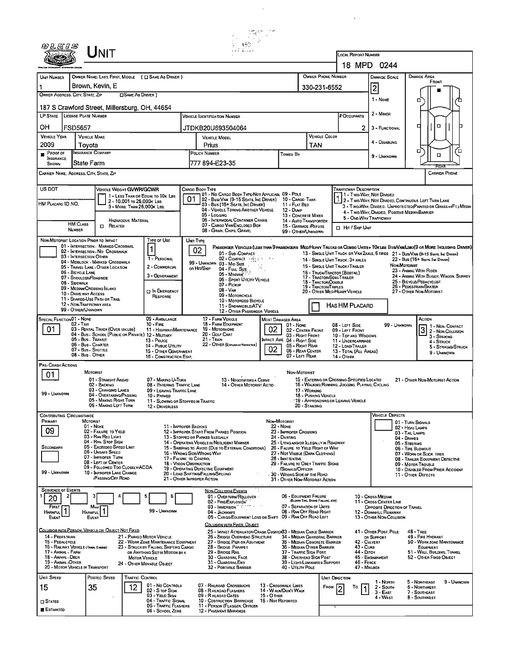|                                                                                | $\mathsf{J}\mathsf{N}$ IT                                                                                    |                            |                                                                                                             |                                                                                                                         |                                                                                                  |                                                                                                                               |                   |                                                                                       |                                                                                            |                                                                                                               | <b>LOCAL REPORT NUMBER</b>                                                                                            |                                                                                                                                                                                                                    |                                                   |                                                                               |                                      |  |  |
|--------------------------------------------------------------------------------|--------------------------------------------------------------------------------------------------------------|----------------------------|-------------------------------------------------------------------------------------------------------------|-------------------------------------------------------------------------------------------------------------------------|--------------------------------------------------------------------------------------------------|-------------------------------------------------------------------------------------------------------------------------------|-------------------|---------------------------------------------------------------------------------------|--------------------------------------------------------------------------------------------|---------------------------------------------------------------------------------------------------------------|-----------------------------------------------------------------------------------------------------------------------|--------------------------------------------------------------------------------------------------------------------------------------------------------------------------------------------------------------------|---------------------------------------------------|-------------------------------------------------------------------------------|--------------------------------------|--|--|
|                                                                                |                                                                                                              |                            |                                                                                                             |                                                                                                                         |                                                                                                  |                                                                                                                               |                   |                                                                                       |                                                                                            |                                                                                                               |                                                                                                                       | 18 MPD 0244                                                                                                                                                                                                        |                                                   |                                                                               |                                      |  |  |
| UNIT NUMBER                                                                    | OWNER NAME: LAST, FIRST, MIDDLE ( C) SAME AS DRIVER )                                                        |                            |                                                                                                             |                                                                                                                         |                                                                                                  |                                                                                                                               |                   |                                                                                       |                                                                                            | OWNER PHONE NUMBER                                                                                            |                                                                                                                       | <b>DAMAGE SCALE</b>                                                                                                                                                                                                |                                                   | DAMAGE AREA                                                                   |                                      |  |  |
|                                                                                | Brown, Kevin, E                                                                                              | <b>CISAME AS DRIVER</b>    |                                                                                                             |                                                                                                                         |                                                                                                  |                                                                                                                               |                   |                                                                                       | 330-231-6552                                                                               |                                                                                                               |                                                                                                                       | $\overline{c}$                                                                                                                                                                                                     |                                                   | FRONT                                                                         |                                      |  |  |
| OWNER ADDRESS: CITY, STATE, ZIP                                                |                                                                                                              |                            |                                                                                                             |                                                                                                                         | 1 - None                                                                                         |                                                                                                                               | σ                 |                                                                                       |                                                                                            |                                                                                                               |                                                                                                                       |                                                                                                                                                                                                                    |                                                   |                                                                               |                                      |  |  |
| 187 S Crawford Street, Millersburg, OH, 44654<br>LP STATE LICENSE PLATE NUMBER |                                                                                                              |                            |                                                                                                             |                                                                                                                         | <b>VEHICLE IDENTIFICATION NUMBER</b>                                                             |                                                                                                                               |                   |                                                                                       |                                                                                            |                                                                                                               | # Occupants                                                                                                           | 2 - MINOR                                                                                                                                                                                                          |                                                   |                                                                               |                                      |  |  |
| он<br>FSD5657                                                                  |                                                                                                              |                            |                                                                                                             |                                                                                                                         | <b>JTDKB20U693504064</b>                                                                         |                                                                                                                               |                   |                                                                                       |                                                                                            |                                                                                                               | 2.                                                                                                                    | $\Box$<br>□                                                                                                                                                                                                        |                                                   |                                                                               |                                      |  |  |
| <b>VEHICLE YEAR</b>                                                            | <b>VEHICLE MAKE</b>                                                                                          |                            |                                                                                                             |                                                                                                                         | VEHICLE MODEL                                                                                    |                                                                                                                               |                   |                                                                                       |                                                                                            | VEHICLE COLOR                                                                                                 |                                                                                                                       | 3 - FUNCTIONAL                                                                                                                                                                                                     |                                                   |                                                                               |                                      |  |  |
| 2009<br>Proof of                                                               | Tovota<br>INSURANCE COMPANY                                                                                  |                            |                                                                                                             |                                                                                                                         | Prius<br>POLICY NUMBER                                                                           |                                                                                                                               |                   |                                                                                       | TAN                                                                                        |                                                                                                               |                                                                                                                       | 4 - DISABLING                                                                                                                                                                                                      |                                                   | σ                                                                             | ้อ                                   |  |  |
| <b>INSURANCE</b><br><b>SHOWN</b>                                               | State Farm                                                                                                   |                            |                                                                                                             |                                                                                                                         | 777 894-E23-35                                                                                   |                                                                                                                               |                   | <b>Towep By</b>                                                                       |                                                                                            |                                                                                                               |                                                                                                                       | 9 - UNKNOWN                                                                                                                                                                                                        |                                                   | $\Box$                                                                        |                                      |  |  |
| CARRIER NAME, ADDRESS, CITY, STATE, ZIP                                        |                                                                                                              |                            |                                                                                                             |                                                                                                                         |                                                                                                  |                                                                                                                               |                   |                                                                                       |                                                                                            |                                                                                                               |                                                                                                                       |                                                                                                                                                                                                                    |                                                   | REAL                                                                          | <b>CARRIER PHONE</b>                 |  |  |
| US DOT                                                                         | VEHICLE WEIGHT GVWR/GCWR                                                                                     |                            |                                                                                                             |                                                                                                                         | CARGO BODY TYPE                                                                                  |                                                                                                                               |                   |                                                                                       |                                                                                            |                                                                                                               | <b>TRAFFICWAY DESCRIPTION</b>                                                                                         |                                                                                                                                                                                                                    |                                                   |                                                                               |                                      |  |  |
| HM PLACARD ID NO.                                                              |                                                                                                              | 2 - 10.001 to 26.000 K Las | 1 - LESS THAN OR EQUAL TO 10K LBS                                                                           | 01                                                                                                                      |                                                                                                  | 101 - No Cargo Body Type/Not Applicabl 09 - Pole<br>02 - Bus/Van (9-15 Seats, Inc Driver)<br>03 - Bus (15+ SEATS, INC DRIVER) |                   | 10 - CARGO TANK<br>11 - FLAT BED                                                      |                                                                                            |                                                                                                               |                                                                                                                       | 11 - Two-Way, Not Divided<br>2 - Two-WAY, NOT DIVIDED, CONTINUOUS LEFT TURN LANE<br>3 - Two-WAY, DIVIDED, UNPROTECTED (PAINTED OR GRASS >4FT.) MEDIA                                                               |                                                   |                                                                               |                                      |  |  |
|                                                                                |                                                                                                              | 3 - MORE THAN 26,000K LBS. |                                                                                                             |                                                                                                                         | 05 - LOGGING                                                                                     | 04 - VEHICLE TDWING ANOTHER VEHICLE                                                                                           |                   | 12 - Dump                                                                             | 13 - CONCRETE MIXER                                                                        |                                                                                                               |                                                                                                                       | 4 - Two Way, Divided, Positive Median Barrier<br>5 - ONE-WAY TRAFFICWAY                                                                                                                                            |                                                   |                                                                               |                                      |  |  |
| <b>HM CLASS</b><br><b>NUMBER</b>                                               | <b>CI RELATED</b>                                                                                            | HAZARDOUS MATERIAL         |                                                                                                             |                                                                                                                         | 08 - GRAIN, CHIPS, GRAVEL                                                                        | 06 - INTERMODAL CONTAINER CHASIS<br>07 - CARGO VAN/ENCLOSED BOX                                                               |                   |                                                                                       | 14 - AUTO TRANSPORTER<br>15 - GARBAGE / REFUSE                                             |                                                                                                               | □ Hn / Skip Unit                                                                                                      |                                                                                                                                                                                                                    |                                                   |                                                                               |                                      |  |  |
| NON-MOTORIST LOCATION PRIOR TO IMPACT                                          |                                                                                                              |                            | TYPE OF USE                                                                                                 | UNIT TYPE                                                                                                               |                                                                                                  |                                                                                                                               |                   |                                                                                       | 99 - OTHER/UNKNOWN                                                                         |                                                                                                               |                                                                                                                       |                                                                                                                                                                                                                    |                                                   |                                                                               |                                      |  |  |
|                                                                                | 01 - INTERSECTION - MARKED CROSSWAL<br>02 - INTERSECTION - NO CROSSWALK                                      |                            | 1                                                                                                           |                                                                                                                         | 02                                                                                               | 01 - Sub-COMPACT                                                                                                              |                   |                                                                                       |                                                                                            |                                                                                                               |                                                                                                                       | PASSENGER VEHICLES (LESS THAN 9 PASSENGERS MED/HEAVY TRUCKS OR COMBO UNITS > 10KLBS BUS/VAN/LIMO(9 OR MORE INCLUDING DRIVER)<br>13 - SINGLE UNIT TRUCK OR VAN 2AXLE, 6 TIRES 21 - BUS/VAN (9-15 SEATS, INC DRIVER) |                                                   |                                                                               |                                      |  |  |
| 03 - INTERSECTION OTHER                                                        | 04 - MIDBLOCK - MARKED CROSSWALK                                                                             |                            | 1 - PERSONAL<br>2 - COMMERCIAL                                                                              |                                                                                                                         | 99 - UNKNOWN 03 - Mio Size                                                                       | $02 - \text{Computer}$                                                                                                        |                   |                                                                                       |                                                                                            |                                                                                                               | 14 - SINGLE UNIT TRUCK: 3+ AXLES<br>15 - SINGLE UNIT TRUCK / TRAILER                                                  |                                                                                                                                                                                                                    | Non-Mororust                                      | 22 - Bus (16+ Seats, Inc Driver)                                              |                                      |  |  |
| 06 - BICYCLE LANE<br>07 - Shoulder/Roadside                                    | 05 - TRAVEL LANE - OTHER LOCATION                                                                            |                            | 3 - GOVERNMENT                                                                                              |                                                                                                                         | or Hit/Skip                                                                                      | 04 - FULL SIZE                                                                                                                |                   |                                                                                       |                                                                                            |                                                                                                               | 16 - Truck/Tractor (BOBTAIL)<br>17 - Tractor/Semi-Trailer                                                             |                                                                                                                                                                                                                    |                                                   | 23 - ANIMAL WITH RIDER                                                        | 24 - ANIMAL WITH BUGGY WAGON, SURREY |  |  |
| 08 - Sidewalk                                                                  | 09 - MEDIAN CROSSING ISLAND                                                                                  |                            | <b>D</b> IN EMERGENCY                                                                                       | 06 - Sport Uttury Vehicle<br>18 - TRACTOR/DOUBLE<br>07 - Pickup<br>19 - Tractor/Triples<br>08 - VAN                     |                                                                                                  |                                                                                                                               |                   |                                                                                       |                                                                                            | 25 - BICYCLE/PEDACYCLIST<br>26 - PEDESTRIAN/SKATER<br>20 - OTHER MED/HEAVY VEHICLE<br>27 - OTHER NON-MOTORIST |                                                                                                                       |                                                                                                                                                                                                                    |                                                   |                                                                               |                                      |  |  |
| 10 - DRIVE WAY ACCESS                                                          | 11 - SHARED-USE PATH OR TRAIL                                                                                |                            | RESPONSE                                                                                                    |                                                                                                                         |                                                                                                  | 09 - MOTORCYCLE<br>10 - MOTORIZED BICYCLE                                                                                     |                   |                                                                                       |                                                                                            |                                                                                                               |                                                                                                                       |                                                                                                                                                                                                                    |                                                   |                                                                               |                                      |  |  |
| 99 - OTHER/UNKNOWN                                                             | 12 - NON-TRAFFICWAY AREA                                                                                     |                            |                                                                                                             |                                                                                                                         |                                                                                                  | 11 - SNOWMOBILE/ATV<br>12 - OTHER PASSENGER VEHICLE                                                                           |                   |                                                                                       |                                                                                            |                                                                                                               | HAS HM PLACARD                                                                                                        |                                                                                                                                                                                                                    |                                                   |                                                                               |                                      |  |  |
| <b>SPECIAL FUNCTION 01 - NONE</b><br>02 - TAXI                                 |                                                                                                              |                            | 09 - AMBULANCE<br>$10 - FIRE$                                                                               |                                                                                                                         | 17 - FARM VEHICLE<br>18 - FARM EQUIPMENT                                                         |                                                                                                                               |                   | MOST DAMAGED AREA<br>01 - None                                                        |                                                                                            |                                                                                                               | 08 - LEFT SIDE                                                                                                        | 99 - UNKNOWN                                                                                                                                                                                                       |                                                   |                                                                               | 3 1 - Non-Contact                    |  |  |
| 01                                                                             | 03 - RENTAL TRUCK (OVER 10KLBS)<br>04 - Bus - School (Public or Private) 12 - Military<br>05 - Bus - Transit |                            | 11 - HIGHWAY/MAINTENANCE<br>13 - Pouce                                                                      |                                                                                                                         | 19 - Мотопноме<br>20 - GOLF CART<br>21 - Train                                                   |                                                                                                                               | 02                |                                                                                       | 02 - CENTER FRONT<br>03 - Right Front                                                      |                                                                                                               | 09 - LEFT FRONT<br>10 - TOP AND WINDOWS                                                                               |                                                                                                                                                                                                                    |                                                   |                                                                               | 3 - Striking                         |  |  |
|                                                                                | 06 - Bus - Charter<br>07 - Bus - SHUTTLE                                                                     |                            | 14 - Public Unury<br>15 - OTHER GOVERNMENT                                                                  | MPACT ARE 04 - RIGHT SIDE<br>22 - OTHER (EXPLAN IV NARRATIVE)<br>05 - RIGHT REAR<br>02 <sub>2</sub><br>06 - REAR CENTER |                                                                                                  |                                                                                                                               |                   |                                                                                       |                                                                                            |                                                                                                               | 11 - UNDERCARRIAGE<br>4 - STRUCK<br>12 - LOAD/TRAILER<br>5 - STRIKING/STRUCK<br>13 - TOTAL (ALL AREAS)<br>9 - UNKNOWN |                                                                                                                                                                                                                    |                                                   |                                                                               |                                      |  |  |
| PRE- CRASH ACTIONS                                                             | 08 - Bus - OTHER                                                                                             |                            | 16 - CONSTRUCTION EOIP,                                                                                     |                                                                                                                         |                                                                                                  |                                                                                                                               |                   |                                                                                       | 07 - LEFT REAR                                                                             |                                                                                                               | 14 - OTHER                                                                                                            |                                                                                                                                                                                                                    |                                                   |                                                                               |                                      |  |  |
| 01                                                                             | <b>MOTORIST</b>                                                                                              |                            |                                                                                                             |                                                                                                                         |                                                                                                  |                                                                                                                               |                   |                                                                                       | NON-MOTORIST                                                                               |                                                                                                               |                                                                                                                       |                                                                                                                                                                                                                    |                                                   |                                                                               |                                      |  |  |
|                                                                                | 01 - STRAIGHT AREAD<br>02 - BACKING                                                                          |                            | 07 - MAKING U-TURN<br>08 - ENTERING TRAFFIC LANE                                                            |                                                                                                                         |                                                                                                  | 13 - Negotiating a Curve<br>14 - OTHER MOTORIST ACTIO                                                                         |                   |                                                                                       |                                                                                            |                                                                                                               | 15 - ENTERING OR CROSSING SPECIFIED LOCATIO<br>16 - WALKING, RUNNING, JOGGING, PLAYING, CYCLING                       |                                                                                                                                                                                                                    |                                                   | 21 - OTHER NON-MOTORIST ACTION                                                |                                      |  |  |
| 99 - UNKNOWN                                                                   | 03 - CHANGING LANES<br>04 - Overtaking/Passing<br>05 - MAKING RIGHT TURN                                     |                            | 09 - LEAVING TRAFFIC LANE<br>10 - PARKED<br>11 - SLOWING OR STOPPEO IN TRAFFIC                              |                                                                                                                         |                                                                                                  |                                                                                                                               |                   |                                                                                       | 17 - WORKING<br>18 - Pushing Vehicle                                                       |                                                                                                               | 19 - Approaching or Leaving Vehicle                                                                                   |                                                                                                                                                                                                                    |                                                   |                                                                               |                                      |  |  |
|                                                                                | UG - MAKING LEFT TURN                                                                                        |                            | 12 - DRIVERLESS                                                                                             |                                                                                                                         |                                                                                                  |                                                                                                                               |                   |                                                                                       | 20 - Standing                                                                              |                                                                                                               |                                                                                                                       |                                                                                                                                                                                                                    |                                                   |                                                                               |                                      |  |  |
| CONTRIBUTING CIRCUMSTANCE<br>PRIMARY                                           | MOTORIST<br>01 - None                                                                                        |                            | 11 - IMPROPER BACKING                                                                                       |                                                                                                                         |                                                                                                  |                                                                                                                               |                   | NON-MOTORIST<br>22 - NONE                                                             |                                                                                            |                                                                                                               |                                                                                                                       | <b>VEHICLE DEFECTS</b>                                                                                                                                                                                             | 01 - TURN SIGNALS                                 |                                                                               |                                      |  |  |
| 09                                                                             | 02 - FAILURE TO YIELD<br>03 - RAN RED LIGHT                                                                  |                            |                                                                                                             |                                                                                                                         | 12 - IMPROPER START FROM PARKED POSITION<br>13 - STOPPED OR PARKED LLEGALLY                      |                                                                                                                               |                   | 23 - IMPROPER CROSSING<br>24 - DARTING                                                |                                                                                            |                                                                                                               |                                                                                                                       |                                                                                                                                                                                                                    | 02 - HEAD LAMPS<br>03 - TAIL LAMPS<br>04 - BRAKES |                                                                               |                                      |  |  |
| Secondary                                                                      | 04 - RAN STOP SIGN<br>05 - Exceepeo Speeo Limit                                                              |                            |                                                                                                             |                                                                                                                         | 14 - OPERATING VEHICLE IN NEGLIGENT MANNER<br>15 - SWERING TO AVOID (DUE TO EXTERNAL CONDITIONS) |                                                                                                                               |                   | 25 - LYING AND/OR ILLEGALLY IN ROADWAY<br>26 - FALURE TO YIELD RIGHT OF WAY           |                                                                                            |                                                                                                               |                                                                                                                       |                                                                                                                                                                                                                    | 05 - STEERING<br>06 - TIRE BLOWOUT                |                                                                               |                                      |  |  |
|                                                                                | 06 - Unsafe Speed<br>07 - IMPROPER TURN<br>08 - LEFT OF CENTER                                               |                            | 17 - FALURE TO CONTROL                                                                                      |                                                                                                                         | 16 - Wrong Side/Wrong Way                                                                        |                                                                                                                               |                   | 27 - NOT VISIBLE (DARK CLOTHING)<br>28 - INATTENTIVE                                  |                                                                                            |                                                                                                               | 07 - WORN OR SLICK TIRES<br>08 - TRAILER EQUIPMENT DEFECTIVE                                                          |                                                                                                                                                                                                                    |                                                   |                                                                               |                                      |  |  |
| 99 - UNKNOWN                                                                   | 09 - FOLLOWED TOO CLOSELY/ACDA<br>10 - IMPROPER LANE CHANGE                                                  |                            | <b>18 - VISION OBSTRUCTION</b>                                                                              |                                                                                                                         | 19 - OPERATING DEFECTIVE EQUIPMENT<br>20 - LOAD SHIFTING/FALLING/SPILLING                        |                                                                                                                               |                   | 29 - FAILURE TO OBEY TRAFFIC SIGNS<br>/SIGNALS/OFFICER<br>30 - Wrong Side of the Road |                                                                                            |                                                                                                               |                                                                                                                       |                                                                                                                                                                                                                    |                                                   | 09 - MOTOR TROUBLE<br>10 - DISABLED FROM PRIOR ACCIDENT<br>11 - OTHER DEFECTS |                                      |  |  |
|                                                                                | <b>PASSING OFF ROAD</b>                                                                                      |                            |                                                                                                             |                                                                                                                         | 21 - OTHER IMPROPER ACTION                                                                       |                                                                                                                               |                   | 31 - OTHER NON-MOTORIST ACTION                                                        |                                                                                            |                                                                                                               |                                                                                                                       |                                                                                                                                                                                                                    |                                                   |                                                                               |                                      |  |  |
| <b>SEQUENCE OF EVENTS</b><br>20                                                |                                                                                                              |                            | 5<br>6                                                                                                      |                                                                                                                         | <b>NON-COLLISION EVENTS</b>                                                                      | 01 - Overturn/Rou.over                                                                                                        |                   |                                                                                       | 06 - EQUIPMENT FAILURE                                                                     |                                                                                                               |                                                                                                                       | 10 - Cross Median                                                                                                                                                                                                  |                                                   |                                                                               |                                      |  |  |
| FIRST                                                                          | Most<br>HARMFUL <sup>1</sup>                                                                                 |                            | 99 - Unknown                                                                                                |                                                                                                                         | 02 - FIRE Explosion                                                                              | 03 - IMMERSION " C. "                                                                                                         |                   |                                                                                       | (BLOWN TIRE, BRAKE FAILURE, ETC)<br>07 - SEPARATION OF UNITS<br>08 - RAN OFF ROAD RIGHT    |                                                                                                               |                                                                                                                       | 11 - CROSS CENTER LINE<br>OPPOSITE DIRECTION OF TRAVEL<br>12 - DOWNHILL RUNAWAY                                                                                                                                    |                                                   |                                                                               |                                      |  |  |
| Harmful<br>EVENT                                                               | EVENT                                                                                                        |                            |                                                                                                             |                                                                                                                         | 04 - JACKKNIFE                                                                                   | 05 - CARGO/EOUIPMENT LOSS OR SHIFT                                                                                            |                   |                                                                                       | 09 - RAN OFF ROAD LEFT                                                                     |                                                                                                               |                                                                                                                       | 13 - OTHER NON-COLLISION                                                                                                                                                                                           |                                                   |                                                                               |                                      |  |  |
| COLLISION WITH PERSON, VEHICLE OR OBJECT NOT FIXED<br>14 - PEDESTRIAN          |                                                                                                              |                            |                                                                                                             |                                                                                                                         |                                                                                                  | COLLISION WITH FIXED, OBJECT<br>25 - IMPACT ATTENUATOR/CRASH CUSHION83 - MEDIAN CABLE BARRIER                                 |                   |                                                                                       |                                                                                            |                                                                                                               |                                                                                                                       | 41 - Other Post, Pole                                                                                                                                                                                              |                                                   | 48 - TREE                                                                     |                                      |  |  |
| 15 - PEDALCYCLE<br>16 - RAILWAY VEHICLE (TRAIN, ENGINE)                        |                                                                                                              |                            | 21 - PARKED MOTOR VEHICLE<br>22 - WORK ZONE MAINTENANCE EQUIPMENT<br>23 - STRUCK BY FALLING, SHIFTING CARGO |                                                                                                                         | 28 - BRIDGE PARAPET                                                                              | 26 - BRIDGE OVERHEAD STRUCTURE<br>27 - BRIDGE PIER OR ABUTMENT                                                                |                   |                                                                                       | 34 - MEDIAN GUARDRAIL BARRIER<br>35 - MEDIAN CONCRETE BARRIER<br>36 - MEDIAN OTHER BARRIER |                                                                                                               | 43 - Cuna                                                                                                             | OR SUPPORT<br>42 - Culvert                                                                                                                                                                                         |                                                   | 49 - FIRE HYDRANT<br>50 - WORK ZONE MAINTENANCE<br>EQUIPMENT                  |                                      |  |  |
| 17 - Animal - Farm<br>18 - Animal - Deer                                       |                                                                                                              | <b>MOTOR VEHICLE</b>       | OR ANYTHING SET IN MOTION BY A                                                                              |                                                                                                                         | 29 - Bridge Rail<br>30 - GUARDRAIL FACE                                                          |                                                                                                                               |                   |                                                                                       | 37 - TRAFFIC SIGN POST<br>38 - OVERHEAD SIGN POST                                          |                                                                                                               | 44 - Дітсн<br>51 - WALL, BUILDING, TUNNEL<br>45 - EMBANKMENT<br>52 - OTHER FIXED OBJECT                               |                                                                                                                                                                                                                    |                                                   |                                                                               |                                      |  |  |
| 19 - ANIMAL -OTHER<br>20 - MOTOR VEHICLE IN TRANSPORT                          |                                                                                                              |                            | 24 - OTHER MOVABLE OBJECT                                                                                   |                                                                                                                         | 31 - GUARDRAILEND                                                                                | 32 - PORTABLE BARRIER                                                                                                         |                   | 40 - UTILITY POLE                                                                     | 39 - LIGHT/LUMINARIES SUPPORT                                                              |                                                                                                               | 46 - FENCE                                                                                                            | 47 - MAILBOX                                                                                                                                                                                                       |                                                   |                                                                               |                                      |  |  |
| UNIT SPEED                                                                     | Postep Speed                                                                                                 | TRAFFIC CONTROL            |                                                                                                             |                                                                                                                         |                                                                                                  |                                                                                                                               |                   |                                                                                       |                                                                                            |                                                                                                               | UNIT DIRECTION                                                                                                        | 1 - North                                                                                                                                                                                                          |                                                   | 5 - NORTHEAST                                                                 | 9 - UNKNOWN                          |  |  |
| 15                                                                             | 35                                                                                                           | 12                         | 01 - No CONTROLS<br>02 - S TOP SIGN<br>03 - YIELD SIGN                                                      |                                                                                                                         | 07 - RAILROAD CROSSBUCKS<br>08 - R AILROAD FLASHERS<br>09 - RAILROAD GATES                       |                                                                                                                               | 15 - O THER       | 13 - Crosswalk Lines<br>14 - Walk/Don't Walk                                          |                                                                                            | FROM                                                                                                          | Т٥                                                                                                                    | 2 - South<br>3 - East                                                                                                                                                                                              |                                                   | 6 - Northwest<br>7 - SOUTHEAST                                                |                                      |  |  |
| $\square$ Stated                                                               |                                                                                                              |                            | 04 - TRAFFIC SIGNAL<br>05 - TRAFFIC FLASHERS                                                                |                                                                                                                         | 10 - Costruction Barricade<br>11 - Person (Flagger, Officer                                      |                                                                                                                               | 16 - Not Reporteo |                                                                                       |                                                                                            |                                                                                                               |                                                                                                                       | 4 - West                                                                                                                                                                                                           |                                                   | 8 - Southwest                                                                 |                                      |  |  |
| <b>ESTIMATED</b>                                                               |                                                                                                              |                            | 06 - SCHOOL ZONE                                                                                            |                                                                                                                         | <b>12 - PAVEMENT MARKINGS</b>                                                                    |                                                                                                                               |                   |                                                                                       |                                                                                            |                                                                                                               |                                                                                                                       |                                                                                                                                                                                                                    |                                                   |                                                                               |                                      |  |  |

 $\mathcal{A}^{\mathcal{A}}$ 

 $\hat{\mathbf{v}}$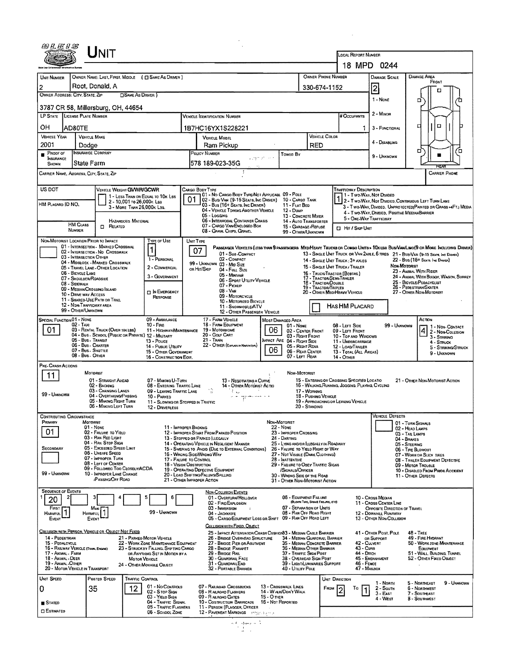|                                          |                                                                                                  | UNIT                                                                                    |                                                         |                                                                                                                                                   |                                                                                                                                              |                                                                                                                |                                                                                                |                                                                                                               | LOCAL REPORT NUMBER                                                                                                                          |                                                       |                                                                                                                                                                                                                     |  |  |  |
|------------------------------------------|--------------------------------------------------------------------------------------------------|-----------------------------------------------------------------------------------------|---------------------------------------------------------|---------------------------------------------------------------------------------------------------------------------------------------------------|----------------------------------------------------------------------------------------------------------------------------------------------|----------------------------------------------------------------------------------------------------------------|------------------------------------------------------------------------------------------------|---------------------------------------------------------------------------------------------------------------|----------------------------------------------------------------------------------------------------------------------------------------------|-------------------------------------------------------|---------------------------------------------------------------------------------------------------------------------------------------------------------------------------------------------------------------------|--|--|--|
|                                          |                                                                                                  |                                                                                         |                                                         |                                                                                                                                                   |                                                                                                                                              |                                                                                                                |                                                                                                |                                                                                                               |                                                                                                                                              | 18 MPD 0244                                           |                                                                                                                                                                                                                     |  |  |  |
| UNIT NUMBER                              |                                                                                                  |                                                                                         |                                                         | OWNER NAME: LAST, FIRST, MIDDLE ( C SAME AS DRIVER )                                                                                              |                                                                                                                                              |                                                                                                                |                                                                                                | <b>OWNER PHONE NUMBER</b>                                                                                     |                                                                                                                                              | <b>DAMAGE SCALE</b>                                   | <b>DAMAGE AREA</b><br>FRONT                                                                                                                                                                                         |  |  |  |
| 2<br>OWNER ADDRESS: CITY, STATE, ZIP     |                                                                                                  | Root, Donald, A                                                                         | <b>CISAME AS DRIVER</b>                                 |                                                                                                                                                   |                                                                                                                                              |                                                                                                                |                                                                                                | 330-674-1152                                                                                                  |                                                                                                                                              | 2                                                     |                                                                                                                                                                                                                     |  |  |  |
|                                          |                                                                                                  |                                                                                         |                                                         |                                                                                                                                                   |                                                                                                                                              |                                                                                                                |                                                                                                |                                                                                                               |                                                                                                                                              | 1 - None                                              | □                                                                                                                                                                                                                   |  |  |  |
| LP STATE LICENSE PLATE NUMBER            |                                                                                                  | 3787 CR 58, Millersburg, OH, 44654                                                      |                                                         |                                                                                                                                                   | VEHICLE IDENTIFICATION NUMBER                                                                                                                |                                                                                                                |                                                                                                |                                                                                                               | # Occupants                                                                                                                                  | $2 -$ Minor                                           |                                                                                                                                                                                                                     |  |  |  |
| OН                                       | AD80TE                                                                                           |                                                                                         |                                                         |                                                                                                                                                   | 1B7HC16YX1S228221                                                                                                                            |                                                                                                                |                                                                                                |                                                                                                               | Ъ.                                                                                                                                           | 3 - FUNCTIONAL                                        | O<br>□                                                                                                                                                                                                              |  |  |  |
| <b>VEHICLE YEAR</b>                      | <b>VEHICLE MAKE</b>                                                                              |                                                                                         |                                                         |                                                                                                                                                   | <b>VEHICLE MODEL</b>                                                                                                                         |                                                                                                                |                                                                                                | VEHICLE COLOR                                                                                                 |                                                                                                                                              | 4 - DISABLING                                         |                                                                                                                                                                                                                     |  |  |  |
| 2001<br>$P$ ROOF OF                      | Dodae                                                                                            | <b>INSURANCE COMPANY</b>                                                                |                                                         |                                                                                                                                                   | Ram Pickup<br>POLICY NUMBER                                                                                                                  | Towen By                                                                                                       | RED                                                                                            |                                                                                                               |                                                                                                                                              |                                                       | σ<br>o                                                                                                                                                                                                              |  |  |  |
| <b>INSURANCE</b><br><b>SHOWN</b>         | State Farm                                                                                       |                                                                                         |                                                         |                                                                                                                                                   | l578 189-023-35G                                                                                                                             |                                                                                                                |                                                                                                |                                                                                                               |                                                                                                                                              | 9 - UNKNOWN                                           | KG At                                                                                                                                                                                                               |  |  |  |
| CARRIER NAME, ADDRESS, CITY, STATE, ZIP  |                                                                                                  |                                                                                         |                                                         |                                                                                                                                                   |                                                                                                                                              |                                                                                                                |                                                                                                |                                                                                                               |                                                                                                                                              |                                                       | <b>CARRIER PHONE</b>                                                                                                                                                                                                |  |  |  |
| US DOT                                   |                                                                                                  | VEHICLE WEIGHT GVWR/GCWR                                                                |                                                         | 1 - LESS THAN OR EQUAL TO 10K LBS                                                                                                                 | Cargo Body Type<br>01 - No Cargo Bony Type/Not Applicabl. 09 - Pole                                                                          |                                                                                                                |                                                                                                |                                                                                                               | <b>TRAFFICWAY DESCRIPTION</b>                                                                                                                | 1 - Two-Way, Not Divided                              |                                                                                                                                                                                                                     |  |  |  |
| HM PLACARD ID NO.                        |                                                                                                  |                                                                                         | 2 - 10,001 To 26,000K Lss<br>3 - MORE THAN 26,000K LBS. |                                                                                                                                                   | 02 - Bus/VAN (9-15 SEATS, INC DRIVER) 10 - CARGO TANK<br>03 - Bus (16+ Seats, Inc Driver)                                                    | 11 - FLAT BED                                                                                                  |                                                                                                |                                                                                                               |                                                                                                                                              |                                                       | 1 2 - Two-Way, Not Divided, Continuous LEFT TURN LANE<br>3 - Two-Way, Divided, UNPROTECTED (PAINTED OR GRASS >4FT.) MEDIA                                                                                           |  |  |  |
|                                          |                                                                                                  |                                                                                         |                                                         |                                                                                                                                                   | 04 - VEHICLE TOWING ANOTHER VEHICLE<br>05 - Logging<br>06 - INTERMODAL CONTAINER CHASIS                                                      | 12 - Dump<br>13 - CONCRETE MIXER                                                                               |                                                                                                |                                                                                                               | 5 - ONE-WAY TRAFFICWAY                                                                                                                       | 4 - Two-Way, DMDED, POSITIVE MEDIANBARRIER            |                                                                                                                                                                                                                     |  |  |  |
|                                          | <b>HM CLASS</b><br>NUMBER                                                                        | <b>CI RELATED</b>                                                                       | <b>HAZARDOUS MATERIAL</b>                               |                                                                                                                                                   | 07 - CARGO VAN ENCLOSED BOX<br>08 - GRAIN, CHIPS, GRAVEL                                                                                     | 15 - GARBAGE / REFUSE<br>99 - OTHER/UNKNOWN                                                                    | 14 - AUTO TRANSPORTER                                                                          |                                                                                                               | <b>D</b> Hit / Skip UNIT                                                                                                                     |                                                       |                                                                                                                                                                                                                     |  |  |  |
| NON-MOTORIST LOCATION PRIOR TO IMPACT    |                                                                                                  |                                                                                         |                                                         | TYPE OF USE                                                                                                                                       | UNIT TYPE                                                                                                                                    |                                                                                                                |                                                                                                |                                                                                                               |                                                                                                                                              |                                                       |                                                                                                                                                                                                                     |  |  |  |
|                                          |                                                                                                  | 01 - INTERSECTION - MARKED CROSSWAL<br>02 - INTERSECTION - NO CROSSWALK                 |                                                         | 1                                                                                                                                                 | 07<br>01 - Sue-COMPACT                                                                                                                       |                                                                                                                |                                                                                                |                                                                                                               |                                                                                                                                              |                                                       | PASSENGER VEHICLES (LESS THAN 9 PASSENGERS MEDIHEAVY TRUCKS OR COMBO UNITS > 10K LES BUS/VAM/LIMO(9 OR MORE INCLUDING DRIVER)<br>13 - SINGLE UNIT TRUCK OR VAN 2AXLE, 6 TIRES 21 - BUS/VAN (9-15 SEATS, INC DRIVER) |  |  |  |
|                                          | 03 - INTERSECTION OTHER                                                                          | 04 - MIDBLOCK - MARKED CROSSWALK<br>05 - TRAVEL LANE - OTHER LOCATION                   |                                                         | 1 - PERSONAL<br>2 - COMMERCIAL                                                                                                                    | 02 - COMPACT<br>99 - UNKNOWN 03 - MID SIZE                                                                                                   |                                                                                                                |                                                                                                |                                                                                                               | 14 - SINGLE UNIT TRUCK: 3+ AXLES                                                                                                             |                                                       | 22 - Bus (16+ Sears, Inc Draver)<br>NON-MOTORIST                                                                                                                                                                    |  |  |  |
|                                          | 06 - BICYCLE LANE<br>07 - Shoulder/Roadside                                                      |                                                                                         |                                                         | 3 - GOVERNMENT                                                                                                                                    | or Hit/Skip<br>04 - FutL Size<br>05 - Minivan<br>06 - SPORT UTILITY VEHICLE                                                                  |                                                                                                                |                                                                                                | 17 - TRACTOR/SEMI-TRAILER                                                                                     | 15 - SINGLE UNIT TRUCK/ TRAILER<br>23 - ANIMAL WITH RIDER<br>16 - TRUCK/TRACTOR (BOBTAIL)<br>24 - ANIMAL WITH BUGGY, WAGON, SURREY           |                                                       |                                                                                                                                                                                                                     |  |  |  |
|                                          | 08 - Sidewalk                                                                                    | 09 - MEDIAN CROSSING ISLAND                                                             |                                                         | <b>T</b> IN EMERGENCY                                                                                                                             | 07 - Pickup<br>08 - VAN                                                                                                                      |                                                                                                                | 18 - TRACTOR/DOUBLE<br>19 - TRACTOR/TRIPLES                                                    | 25 - BICYCLE/PEDACYCLIST<br>26 - PEDESTRIAN SKATER<br>20 - OTHER MED/HEAVY VEHICLE<br>27 - OTHER NON-MOTORIST |                                                                                                                                              |                                                       |                                                                                                                                                                                                                     |  |  |  |
|                                          | 10 - DRIVE WAY ACCESS                                                                            | 11 - SHARED-USE PATH OR TRAIL                                                           |                                                         | RESPONSE                                                                                                                                          | 09 - MOTORCYCLE<br>10 - MOTORIZED BICYCLE                                                                                                    |                                                                                                                |                                                                                                |                                                                                                               |                                                                                                                                              |                                                       |                                                                                                                                                                                                                     |  |  |  |
|                                          | 12 - NDN-TRAFFICWAY AREA<br>99 - OTHER/UNKNOWN                                                   |                                                                                         |                                                         |                                                                                                                                                   | 11 - SNOWMOBILE/ATV<br>12 - OTHER PASSENGER VEHICLE                                                                                          |                                                                                                                |                                                                                                |                                                                                                               | <b>HAS HM PLACARD</b>                                                                                                                        |                                                       |                                                                                                                                                                                                                     |  |  |  |
| SPECIAL FUNCTION 01 - NONE<br>01         | $02 - Tay$<br>05 - Bus - Transit<br>06 - Bus - Charter<br>07 - Bus - Shuttle<br>08 - Bus - OTHER | 03 - RENTAL TRUCK (OVER 10K LBS)<br>04 - Bus - Schdol (Public or Private) 12 - Military |                                                         | 09 - AMBULANCE<br>$10 -$ Fire<br>11 - Highway/Maintenance<br>13 - Pouce<br>14 - PUBLIC UTILITY<br>15 - OTHER GOVERNMENT<br>16 - CONSTRUCTION EOIP | 17 - FARM VEHICLE<br>18 - FARM EQUIPMENT<br>06<br>19 - Мотопноме<br>20 - GOLF CART<br>21 - Train<br>22 - OTHER (EXPLADIBLA NARRANTIVE)<br>06 | Most Damaged Area<br>01 - NONE<br>IMPACT ARE 04 - RIGHT SIDE                                                   | 02 - CENTER FRONT<br>03 - Right Front<br>05 - RIGHT REAR<br>06 - REAR CENTER<br>07 - LEFT REAR |                                                                                                               | 08 - LEFT SIDE<br>09 - LEFT FRONT<br>10 - TOP AND WINDOWS<br>11 - UNDERCARRIAGE<br>12 - LOAD/TRAILER<br>13 - TOTAL (ALL AREAS)<br>14 - OTHER | 99 - Unxnown                                          | Аспон<br>1 - Non-Contact<br>2 - Non-Collision<br>3 - Striking<br>4 - Struck<br>5 - STRIKING/STRUCK<br>9 - UNKNOWN                                                                                                   |  |  |  |
| PRE-CRASH ACTIONS                        |                                                                                                  |                                                                                         |                                                         |                                                                                                                                                   |                                                                                                                                              |                                                                                                                |                                                                                                |                                                                                                               |                                                                                                                                              |                                                       |                                                                                                                                                                                                                     |  |  |  |
| 11                                       |                                                                                                  | MOTORIST<br>01 - STRAIGHT AHEAD                                                         |                                                         | 07 - MAKING U-TURN                                                                                                                                | 13 - Negotiating a Curve                                                                                                                     |                                                                                                                | NON-MOTORIST                                                                                   |                                                                                                               | 15 - ENTERING OR CROSSING SPECIFIED LOCATIO                                                                                                  |                                                       | 21 - OTHER NON-MOTORIST ACTION                                                                                                                                                                                      |  |  |  |
|                                          |                                                                                                  | 02 - BACKING<br>03 - Changing LANES                                                     |                                                         | 08 - ENTERING TRAFFIC LANE<br>09 - LEAVING TRAFFIC LANE                                                                                           | 14 - Other Motorist Actio<br>łы.                                                                                                             | 17 - Working                                                                                                   |                                                                                                | 16 - WALKING, RUNNING, JOGGING, PLAYING, CYCLING                                                              |                                                                                                                                              |                                                       |                                                                                                                                                                                                                     |  |  |  |
| 99 - UNKNOWN                             |                                                                                                  | 04 - Overtaking/Passing<br>05 - MAKING RIGHT TURN<br>06 - MAKING LEFT TURN              |                                                         | 10 - PARKED<br>11 - Slowing or Stopped in Traffic                                                                                                 |                                                                                                                                              |                                                                                                                | 18 - PUSHING VEHICLE                                                                           |                                                                                                               | 19 - APPROACHING OR LEAVING VEHICLE                                                                                                          |                                                       |                                                                                                                                                                                                                     |  |  |  |
| CONTRIBUTING CIRCUMSTANCE                |                                                                                                  |                                                                                         |                                                         | 12 - Driverless                                                                                                                                   |                                                                                                                                              |                                                                                                                | 20 - Standing                                                                                  |                                                                                                               |                                                                                                                                              | <b>VEHICLE DEFECTS</b>                                |                                                                                                                                                                                                                     |  |  |  |
| PRIMARY                                  | Мотоківт                                                                                         | $01 - None$                                                                             |                                                         | 11 - IMPROPER BACKING                                                                                                                             |                                                                                                                                              | NON-MOTORIST<br>22 - None                                                                                      |                                                                                                |                                                                                                               |                                                                                                                                              |                                                       | 01 - TURN SIGNALS<br>02 - HEAD LAMPS                                                                                                                                                                                |  |  |  |
| 01                                       |                                                                                                  | 02 - FAILURE TO YIELD<br>03 - RAN RED LIGHT                                             |                                                         |                                                                                                                                                   | 12 - IMPROPER START FROM PARKED POSITION<br>13 - STOPPED OR PARKED LLEGALLY                                                                  | 23 - IMPROPER CROSSING<br>24 - DARTING                                                                         |                                                                                                |                                                                                                               | 03 - TAIL LAMPS<br>04 - BRAKES                                                                                                               |                                                       |                                                                                                                                                                                                                     |  |  |  |
| <b>SECONDARY</b>                         |                                                                                                  | 04 - RAN STOP SIGN<br>05 - Exceeded Speed Limit<br>06 - Unsafe Speed                    |                                                         |                                                                                                                                                   | 14 - OPERATING VEHICLE IN NEGLIGENT MANNER<br>15 - Swering to Avoid (Due to External Conditions)<br>16 - Wrong Side/Wrong Way                | 25 - LYING AND/OR LLEGALLY IN ROADWAY<br>26 - FALURE TO YIELD RIGHT OF WAY<br>27 - NOT VISIBLE (DARK CLOTHING) |                                                                                                |                                                                                                               |                                                                                                                                              |                                                       | 05 - STEERING<br>06 - TIRE BLOWOUT                                                                                                                                                                                  |  |  |  |
|                                          |                                                                                                  | 07 - IMPROPER TURN<br>08 - LEFT OF CENTER                                               |                                                         |                                                                                                                                                   | 17 - FALURE TO CONTROL<br>18 - Vision Obstruction                                                                                            | 28 - INATTENTIVE<br>29 - FAILURE TO OBEY TRAFFIC SIGNS                                                         |                                                                                                | 07 - WORN OR SLICK TIRES<br>08 - TRAILER EOUIPMENT DEFECTIVE<br>09 - MOTOR TROUBLE                            |                                                                                                                                              |                                                       |                                                                                                                                                                                                                     |  |  |  |
| 99 - UNKNOWN                             |                                                                                                  | 09 - Followeo Too Closely/ACDA<br>10 - IMPROPER LANE CHANGE<br><b>iPassing/OFF RDAD</b> |                                                         |                                                                                                                                                   | 19 - OPERATING DEFECTIVE EQUIPMENT<br>20 - LOAD SHIFTING/FALLING/SPILLING                                                                    | /SIGNALS/OFFICER<br>30 - WRONG SIDE OF THE ROAD                                                                |                                                                                                |                                                                                                               |                                                                                                                                              |                                                       | 10 - DISABLED FROM PRIOR ACCIDENT<br>11 - OTHER DEFECTS                                                                                                                                                             |  |  |  |
| <b>SEQUENCE OF EVENTS</b>                |                                                                                                  |                                                                                         |                                                         |                                                                                                                                                   | 21 - OTHER IMPROPER ACTION                                                                                                                   | 31 - OTHER NON-MOTORIST ACTION                                                                                 |                                                                                                |                                                                                                               |                                                                                                                                              |                                                       |                                                                                                                                                                                                                     |  |  |  |
| 20                                       |                                                                                                  |                                                                                         |                                                         | 6                                                                                                                                                 | NON-COLLISION EVENTS<br>01 - Overturn/Rollgver<br>02 - FIRE/EXPLOSION                                                                        | 06 - EQUIPMENT FAILURE                                                                                         |                                                                                                | (BLOWN TIRE, BRANE FAILURE, ETC)                                                                              |                                                                                                                                              | 10 - Cross Median<br>11 - Cross Center Line           |                                                                                                                                                                                                                     |  |  |  |
| FIRST<br>HARMFUL                         | <b>HARMFUL</b>                                                                                   | Mest                                                                                    |                                                         | 99 - UNKNOWN                                                                                                                                      | 03 - MMERSION<br>04 - JACKKNIFE                                                                                                              | 07 - SEPARATION OF UNITS<br>08 - RAN OFF ROAD RIGHT                                                            |                                                                                                |                                                                                                               |                                                                                                                                              | OPPOSITE DIRECTION OF TRAVEL<br>12 - DOWNHILL RUNAWAY |                                                                                                                                                                                                                     |  |  |  |
| EVENT                                    |                                                                                                  | EVENT                                                                                   |                                                         |                                                                                                                                                   | 05 - CARGO/EQUIPMENT LOSS OR SHIFT<br>COLLISION WITH FIXED, OBJECT                                                                           | 09 - RAN OFF ROAD LEFT                                                                                         |                                                                                                |                                                                                                               |                                                                                                                                              | 13 - OTHER NON-COLLISION                              |                                                                                                                                                                                                                     |  |  |  |
| 14 - PEDESTRIAN                          |                                                                                                  | COLLISION WITH PERSON, VEHICLE OR OBJECT NOT FIXED                                      |                                                         | 21 - PARKEO MOTOR VEHICLE                                                                                                                         | 25 - IMPACT ATTENUATOR/CRASH CUSHION33 - MEDIAN CABLE BARRIER<br>26 - BRIDGE OVERHEAD STRUCTURE                                              |                                                                                                                |                                                                                                | 34 - Median Guardrail Barrier                                                                                 |                                                                                                                                              | 41 - OTHER POST, POLE<br>OR SUPPORT                   | $48 -$ TREE<br>49 - FIRE HYDRANT                                                                                                                                                                                    |  |  |  |
| 15 - PEDALCYCLE<br>17 - Animal - Farm    | 16 - RAILWAY VEHICLE (TRANK, ENGINE)                                                             |                                                                                         |                                                         | 22 - WORK ZONE MAINTENANCE EQUIPMENT<br>23 - STRUCK BY FALLING, SHIFTING CARGO<br>OR ANYTHING SET IN MOTION BY A                                  | 27 - Bridge Pier or Abutment<br>28 - Bridge Parapet<br>29 - BRIDGE RAIL                                                                      | 36 - MEDIAN OTHER BARRIER<br>37 - TRAFFIC SIGN POST                                                            |                                                                                                | 35 - MEDIAN CONCRETE BARRIER                                                                                  | 42 - Culvert<br>43 - Cuns<br>44 - Олген                                                                                                      |                                                       | 50 - WORK ZONE MAINTENANCE<br>EQUIPMENT<br>51 - WALL, BUILDING, TUNNEL                                                                                                                                              |  |  |  |
| 18 - Animal - Deer<br>19 - ANIMAL -OTHER |                                                                                                  |                                                                                         | <b>MOTOR VEHICLE</b>                                    | 24 - OTHER MOVABLE OBJECT                                                                                                                         | 30 - GUARDRAIL FACE<br>31 - GUARDRAILEND                                                                                                     | 38 - Overhead Sign Post                                                                                        |                                                                                                | 39 - Light/Luminaries Support                                                                                 | 46 - Ремсе                                                                                                                                   | 45 - EMBANKMENT                                       | 52 - OTHER FIXED OBJECT                                                                                                                                                                                             |  |  |  |
| UNIT SPEED                               | 20 - MOTOR VEHICLE IN TRANSPORT                                                                  |                                                                                         |                                                         |                                                                                                                                                   | 32 - PORTABLE BARRIER                                                                                                                        | 40 - Utility Pole                                                                                              |                                                                                                |                                                                                                               | 47 - Malbox                                                                                                                                  |                                                       |                                                                                                                                                                                                                     |  |  |  |
| 0                                        |                                                                                                  | Posted Speed<br>35                                                                      | <b>TRAFFIC CONTROL</b><br>12                            | 01 - No CONTROLS                                                                                                                                  | 07 - RAILROAD CROSSBUCKS                                                                                                                     | 13 - Crosswalk LINES                                                                                           |                                                                                                | UNIT DIRECTION<br>FROM                                                                                        | To                                                                                                                                           | 1 - Norm<br>2 - South                                 | 5 - NORTHEAST<br>9 - UNKNOWN<br>6 - NORTHWEST                                                                                                                                                                       |  |  |  |
| ■ Stated                                 |                                                                                                  |                                                                                         |                                                         | 02 - S TOP SIGN<br>03 - YIELD SIGN<br>04 - TRAPFIC SIGNAL                                                                                         | 08 - RAILROAD FLASHERS<br><b>15 - O THER</b><br>09 - RAILROAD GATES<br>10 - Costruction Barricade                                            | 14 - WALK/DON'T WALK<br>16 - Not Reported                                                                      |                                                                                                |                                                                                                               |                                                                                                                                              | 3 - EAST<br>4 - West                                  | 7 - SOUTHEAST<br>8 - SOUTHWEST                                                                                                                                                                                      |  |  |  |
| <b>CI ESTIMATED</b>                      |                                                                                                  |                                                                                         |                                                         | 05 - TRAFFIC FLASHERS<br>06 - SCHOOL ZONE                                                                                                         | 11 - PERSON (FLAGGER, OFFICER<br>12 - PAVEMENT MARKINGS - 19921, 1999 3                                                                      |                                                                                                                |                                                                                                |                                                                                                               |                                                                                                                                              |                                                       |                                                                                                                                                                                                                     |  |  |  |